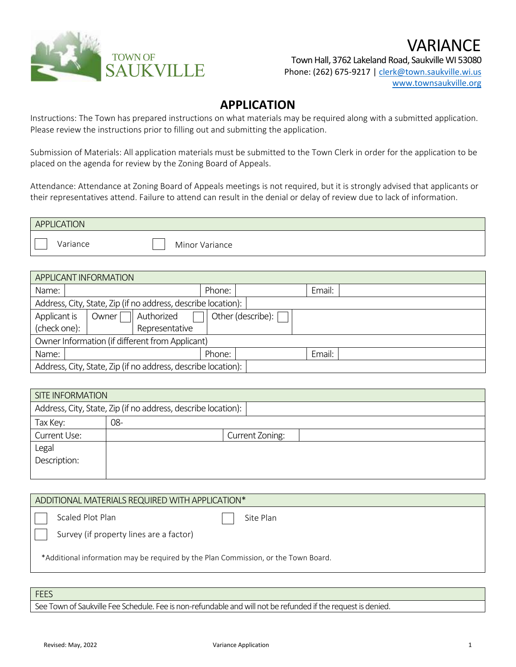

Town Hall, 3762 Lakeland Road, Saukville WI 53080 Phone: (262) 675-9217 [| clerk@town.saukville.wi.us](mailto:clerk@town.saukville.wi.us) [www.townsaukville.org](http://www.townsaukville.org/)

VARIANCE

## **APPLICATION**

Instructions: The Town has prepared instructions on what materials may be required along with a submitted application. Please review the instructions prior to filling out and submitting the application.

Submission of Materials: All application materials must be submitted to the Town Clerk in order for the application to be placed on the agenda for review by the Zoning Board of Appeals.

Attendance: Attendance at Zoning Board of Appeals meetings is not required, but it is strongly advised that applicants or their representatives attend. Failure to attend can result in the denial or delay of review due to lack of information.

| <b>APPLICATION</b> |                |  |
|--------------------|----------------|--|
| Variance           | Minor Variance |  |

| <b>APPLICANT INFORMATION</b>                                  |                                            |                |        |  |        |  |
|---------------------------------------------------------------|--------------------------------------------|----------------|--------|--|--------|--|
| Name:                                                         |                                            |                | Phone: |  | Email: |  |
| Address, City, State, Zip (if no address, describe location): |                                            |                |        |  |        |  |
| Applicant is                                                  | Other (describe): [<br>Authorized<br>Owner |                |        |  |        |  |
| (check one):                                                  |                                            | Representative |        |  |        |  |
| Owner Information (if different from Applicant)               |                                            |                |        |  |        |  |
| Name:                                                         |                                            |                | Phone: |  | Email: |  |
| Address, City, State, Zip (if no address, describe location): |                                            |                |        |  |        |  |

| <b>SITE INFORMATION</b>                                       |     |                 |  |  |  |  |  |
|---------------------------------------------------------------|-----|-----------------|--|--|--|--|--|
| Address, City, State, Zip (if no address, describe location): |     |                 |  |  |  |  |  |
| Tax Key:                                                      | 08- |                 |  |  |  |  |  |
| Current Use:                                                  |     | Current Zoning: |  |  |  |  |  |
| Legal                                                         |     |                 |  |  |  |  |  |
| Description:                                                  |     |                 |  |  |  |  |  |
|                                                               |     |                 |  |  |  |  |  |

| ADDITIONAL MATERIALS REQUIRED WITH APPLICATION*                                    |           |
|------------------------------------------------------------------------------------|-----------|
| Scaled Plot Plan                                                                   | Site Plan |
| Survey (if property lines are a factor)                                            |           |
| *Additional information may be required by the Plan Commission, or the Town Board. |           |

**FEES** 

See Town of Saukville Fee Schedule. Fee is non-refundable and will not be refunded if the request is denied.